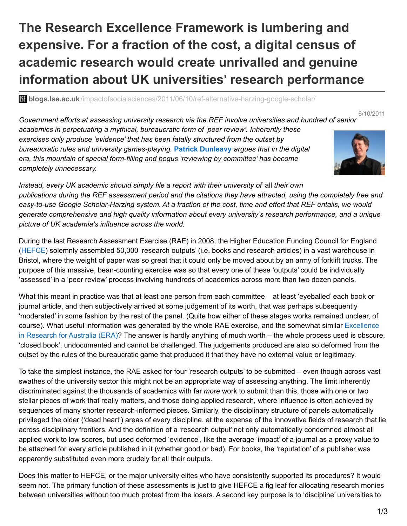## **The Research Excellence Framework is lumbering and expensive. For a fraction of the cost, a digital census of academic research would create unrivalled and genuine information about UK universities' research performance**

**bli blogs.lse.ac.uk**[/impactofsocialsciences/2011/06/10/ref-alternative-harzing-google-scholar/](http://blogs.lse.ac.uk/impactofsocialsciences/2011/06/10/ref-alternative-harzing-google-scholar/)

6/10/2011

*Government efforts at assessing university research via the REF involve universities and hundred of senior academics in perpetuating a mythical, bureaucratic form of 'peer review'. Inherently these exercises only produce 'evidence' that has been fatally structured from the outset by bureaucratic rules and university games-playing.* **Patrick [Dunleavy](http://blogs.lse.ac.uk/politicsandpolicy/contributors/#Patrick_Dunleavy)** *argues that in the digital era, this mountain of special form-filling and bogus 'reviewing by committee' has become completely unnecessary.*



*Instead, every UK academic should simply file a report with their university of* all *their own* publications during the REF assessment period and the citations they have attracted, using the completely free and easy-to-use Google Scholar-Harzing system. At a fraction of the cost, time and effort that REF entails, we would *generate comprehensive and high quality information about every university's research performance, and a unique picture of UK academia's influence across the world.*

During the last Research Assessment Exercise (RAE) in 2008, the Higher Education Funding Council for England ([HEFCE](http://www.hefce.ac.uk/)) solemnly assembled 50,000 'research outputs' (i.e. books and research articles) in a vast warehouse in Bristol, where the weight of paper was so great that it could only be moved about by an army of forklift trucks. The purpose of this massive, bean-counting exercise was so that every one of these 'outputs' could be individually 'assessed' in a 'peer review' process involving hundreds of academics across more than two dozen panels.

What this meant in practice was that at least one person from each committee at least 'eyeballed' each book or journal article, and then subjectively arrived at some judgement of its worth, that was perhaps subsequently 'moderated' in some fashion by the rest of the panel. (Quite how either of these stages works remained unclear, of course). What useful [information](http://www.arc.gov.au/era/) was generated by the whole RAE exercise, and the somewhat similar Excellence in Research for Australia (ERA)? The answer is hardly anything of much worth – the whole process used is obscure, 'closed book', undocumented and cannot be challenged. The judgements produced are also so deformed from the outset by the rules of the bureaucratic game that produced it that they have no external value or legitimacy.

To take the simplest instance, the RAE asked for four 'research outputs' to be submitted – even though across vast swathes of the university sector this might not be an appropriate way of assessing anything. The limit inherently discriminated against the thousands of academics with far *more* work to submit than this, those with one or two stellar pieces of work that really matters, and those doing applied research, where influence is often achieved by sequences of many shorter research-informed pieces. Similarly, the disciplinary structure of panels automatically privileged the older ('dead heart') areas of every discipline, at the expense of the innovative fields of research that lie across disciplinary frontiers. And the definition of a 'research output' not only automatically condemned almost all applied work to low scores, but used deformed 'evidence', like the average 'impact' of a journal as a proxy value to be attached for every article published in it (whether good or bad). For books, the 'reputation' of a publisher was apparently substituted even more crudely for all their outputs.

Does this matter to HEFCE, or the major university elites who have consistently supported its procedures? It would seem not. The primary function of these assessments is just to give HEFCE a fig leaf for allocating research monies between universities without too much protest from the losers. A second key purpose is to 'discipline' universities to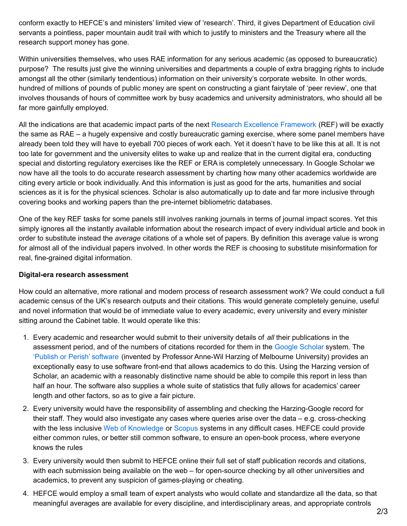conform exactly to HEFCE's and ministers' limited view of 'research'. Third, it gives Department of Education civil servants a pointless, paper mountain audit trail with which to justify to ministers and the Treasury where all the research support money has gone.

Within universities themselves, who uses RAE information for any serious academic (as opposed to bureaucratic) purpose? The results just give the winning universities and departments a couple of extra bragging rights to include amongst all the other (similarly tendentious) information on their university's corporate website. In other words, hundred of millions of pounds of public money are spent on constructing a giant fairytale of 'peer review', one that involves thousands of hours of committee work by busy academics and university administrators, who should all be far more gainfully employed.

All the indications are that academic impact parts of the next Research Excellence [Framework](http://www.hefce.ac.uk/research/ref/) (REF) will be exactly the same as RAE – a hugely expensive and costly bureaucratic gaming exercise, where some panel members have already been told they will have to eyeball 700 pieces of work each. Yet it doesn't have to be like this at all. It is not too late for government and the university elites to wake up and realize that in the current digital era, conducting special and distorting regulatory exercises like the REF or ERA is completely unnecessary. In Google Scholar we now have all the tools to do accurate research assessment by charting how many other academics worldwide are citing every article or book individually. And this information is just as good for the arts, humanities and social sciences as it is for the physical sciences. Scholar is also automatically up to date and far more inclusive through covering books and working papers than the pre-internet bibliometric databases.

One of the key REF tasks for some panels still involves ranking journals in terms of journal impact scores. Yet this simply ignores all the instantly available information about the research impact of every individual article and book in order to substitute instead the *average* citations of a whole set of papers. By definition this average value is wrong for almost all of the individual papers involved. In other words the REF is choosing to substitute misinformation for real, fine-grained digital information.

## **Digital-era research assessment**

How could an alternative, more rational and modern process of research assessment work? We could conduct a full academic census of the UK's research outputs and their citations. This would generate completely genuine, useful and novel information that would be of immediate value to every academic, every university and every minister sitting around the Cabinet table. It would operate like this:

- 1. Every academic and researcher would submit to their university details of *all* their publications in the assessment period, and of the numbers of citations recorded for them in the Google [Scholar](http://scholar.google.co.uk/) system. The 'Publish or Perish' [software](http://www.harzing.com/pop.htm) (invented by Professor Anne-Wil Harzing of Melbourne University) provides an exceptionally easy to use software front-end that allows academics to do this. Using the Harzing version of Scholar, an academic with a reasonably distinctive name should be able to compile this report in less than half an hour. The software also supplies a whole suite of statistics that fully allows for academics' career length and other factors, so as to give a fair picture.
- 2. Every university would have the responsibility of assembling and checking the Harzing-Google record for their staff. They would also investigate any cases where queries arise over the data – e.g. cross-checking with the less inclusive Web of [Knowledge](http://wokinfo.com/) or [Scopus](http://www.scopus.com/home.url) systems in any difficult cases. HEFCE could provide either common rules, or better still common software, to ensure an open-book process, where everyone knows the rules
- 3. Every university would then submit to HEFCE online their full set of staff publication records and citations, with each submission being available on the web – for open-source checking by all other universities and academics, to prevent any suspicion of games-playing or cheating.
- 4. HEFCE would employ a small team of expert analysts who would collate and standardize all the data, so that meaningful averages are available for every discipline, and interdisciplinary areas, and appropriate controls